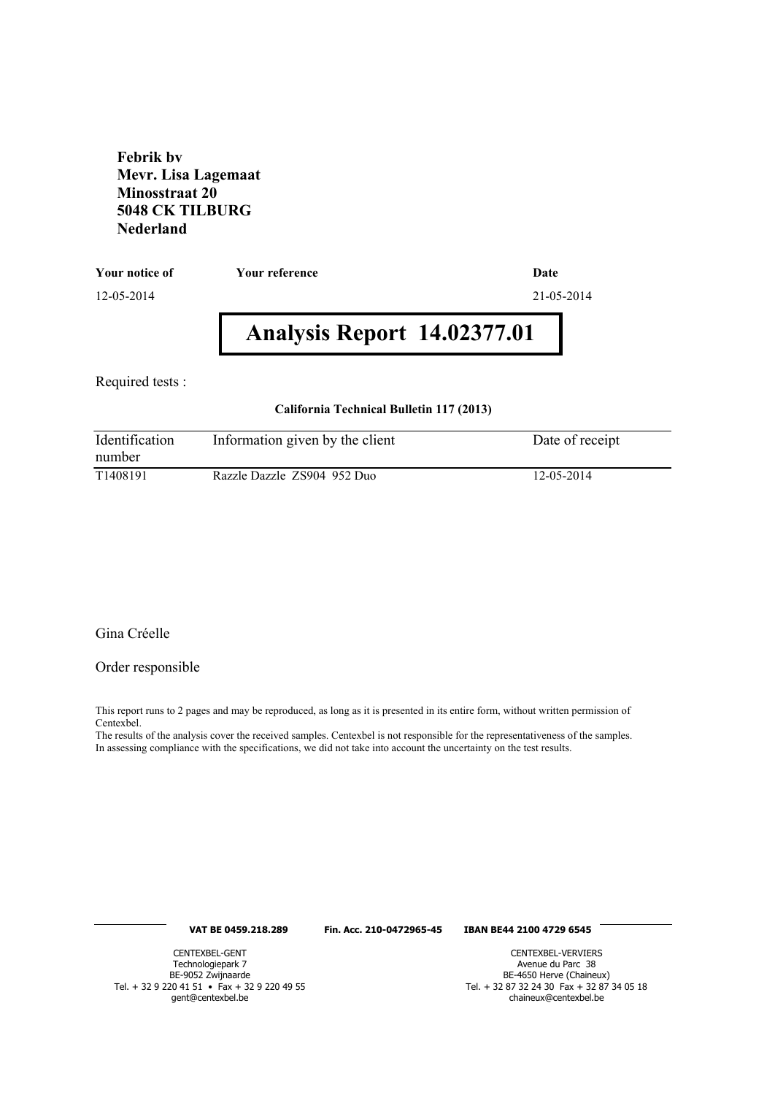**Febrik bv Mevr. Lisa Lagemaat Minosstraat 20 5048 CK TILBURG Nederland**

**Your notice of Your reference Date**

12-05-2014 21-05-2014

# **Analysis Report 14.02377.01**

Required tests :

#### **California Technical Bulletin 117 (2013)**

| Identification<br>number | Information given by the client | Date of receipt |
|--------------------------|---------------------------------|-----------------|
| T <sub>1408</sub> 191    | Razzle Dazzle ZS904 952 Duo     | 12-05-2014      |

## Gina Créelle

#### Order responsible

This report runs to 2 pages and may be reproduced, as long as it is presented in its entire form, without written permission of Centexbel.

The results of the analysis cover the received samples. Centexbel is not responsible for the representativeness of the samples. In assessing compliance with the specifications, we did not take into account the uncertainty on the test results.

#### **VAT BE 0459.218.289 Fin. Acc. 210-0472965-45 IBAN BE44 2100 4729 6545**

CENTEXBEL-GENT Technologiepark 7 BE-9052 Zwijnaarde Tel. + 32 9 220 41 51 • Fax + 32 9 220 49 55 gent@centexbel.be

CENTEXBEL-VERVIERS Avenue du Parc 38 BE-4650 Herve (Chaineux) Tel. + 32 87 32 24 30 Fax + 32 87 34 05 18 chaineux@centexbel.be